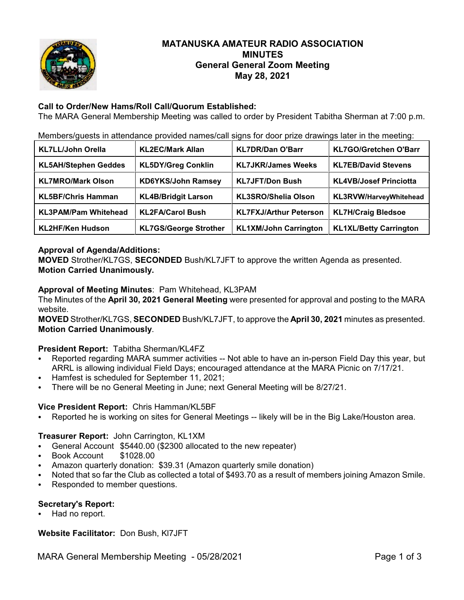

# **MATANUSKA AMATEUR RADIO ASSOCIATION MINUTES General General Zoom Meeting May 28, 2021**

## **Call to Order/New Hams/Roll Call/Quorum Established:**

The MARA General Membership Meeting was called to order by President Tabitha Sherman at 7:00 p.m.

Members/guests in attendance provided names/call signs for door prize drawings later in the meeting:

| <b>KL7LL/John Orella</b>    | <b>KL2EC/Mark Allan</b>      | <b>KL7DR/Dan O'Barr</b>       | <b>KL7GO/Gretchen O'Barr</b>  |
|-----------------------------|------------------------------|-------------------------------|-------------------------------|
| <b>KL5AH/Stephen Geddes</b> | <b>KL5DY/Greg Conklin</b>    | <b>KL7JKR/James Weeks</b>     | <b>KL7EB/David Stevens</b>    |
| <b>KL7MRO/Mark Olson</b>    | <b>KD6YKS/John Ramsey</b>    | <b>KL7JFT/Don Bush</b>        | <b>KL4VB/Josef Princiotta</b> |
| <b>KL5BF/Chris Hamman</b>   | <b>KL4B/Bridgit Larson</b>   | <b>KL3SRO/Shelia Olson</b>    | KL3RVW/HarveyWhitehead        |
| <b>KL3PAM/Pam Whitehead</b> | <b>KL2FA/Carol Bush</b>      | <b>KL7FXJ/Arthur Peterson</b> | <b>KL7H/Craig Bledsoe</b>     |
| <b>KL2HF/Ken Hudson</b>     | <b>KL7GS/George Strother</b> | <b>KL1XM/John Carrington</b>  | <b>KL1XL/Betty Carrington</b> |

## **Approval of Agenda/Additions:**

**MOVED** Strother/KL7GS, **SECONDED** Bush/KL7JFT to approve the written Agenda as presented. **Motion Carried Unanimously.**

### **Approval of Meeting Minutes**: Pam Whitehead, KL3PAM

The Minutes of the **April 30, 2021 General Meeting** were presented for approval and posting to the MARA website.

**MOVED** Strother/KL7GS, **SECONDED** Bush/KL7JFT, to approve the **April 30, 2021** minutes as presented. **Motion Carried Unanimously**.

## **President Report:** Tabitha Sherman/KL4FZ

- Reported regarding MARA summer activities -- Not able to have an in-person Field Day this year, but ARRL is allowing individual Field Days; encouraged attendance at the MARA Picnic on 7/17/21.
- C Hamfest is scheduled for September 11, 2021;
- There will be no General Meeting in June; next General Meeting will be 8/27/21.

## **Vice President Report:** Chris Hamman/KL5BF

Reported he is working on sites for General Meetings -- likely will be in the Big Lake/Houston area.

#### **Treasurer Report:** John Carrington, KL1XM

- General Account \$5440.00 (\$2300 allocated to the new repeater)
- Book Account \$1028.00
- Amazon quarterly donation: \$39.31 (Amazon quarterly smile donation)
- Noted that so far the Club as collected a total of \$493.70 as a result of members joining Amazon Smile.
- Responded to member questions.

## **Secretary's Report:**

Had no report.

**Website Facilitator:** Don Bush, Kl7JFT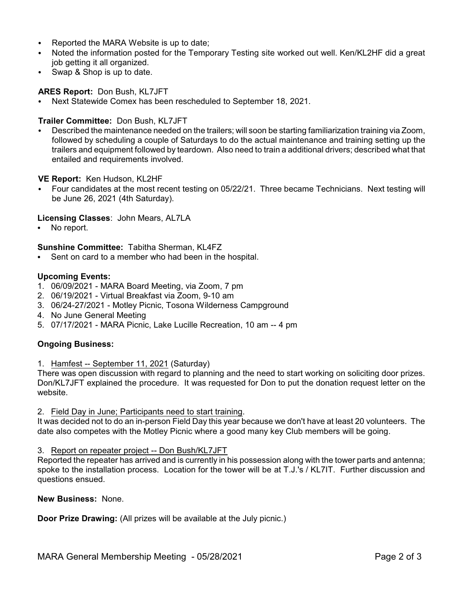- Reported the MARA Website is up to date;
- Noted the information posted for the Temporary Testing site worked out well. Ken/KL2HF did a great job getting it all organized.
- $\cdot$  Swap & Shop is up to date.

**ARES Report:** Don Bush, KL7JFT

C Next Statewide Comex has been rescheduled to September 18, 2021.

#### **Trailer Committee:** Don Bush, KL7JFT

Described the maintenance needed on the trailers; will soon be starting familiarization training via Zoom, followed by scheduling a couple of Saturdays to do the actual maintenance and training setting up the trailers and equipment followed by teardown. Also need to train a additional drivers; described what that entailed and requirements involved.

**VE Report:** Ken Hudson, KL2HF

Four candidates at the most recent testing on 05/22/21. Three became Technicians. Next testing will be June 26, 2021 (4th Saturday).

#### **Licensing Classes**: John Mears, AL7LA

No report.

#### **Sunshine Committee:** Tabitha Sherman, KL4FZ

Sent on card to a member who had been in the hospital.

#### **Upcoming Events:**

- 1. 06/09/2021 MARA Board Meeting, via Zoom, 7 pm
- 2. 06/19/2021 Virtual Breakfast via Zoom, 9-10 am
- 3. 06/24-27/2021 Motley Picnic, Tosona Wilderness Campground
- 4. No June General Meeting
- 5. 07/17/2021 MARA Picnic, Lake Lucille Recreation, 10 am -- 4 pm

#### **Ongoing Business:**

1. Hamfest -- September 11, 2021 (Saturday)

There was open discussion with regard to planning and the need to start working on soliciting door prizes. Don/KL7JFT explained the procedure. It was requested for Don to put the donation request letter on the website.

2. Field Day in June; Participants need to start training.

It was decided not to do an in-person Field Day this year because we don't have at least 20 volunteers. The date also competes with the Motley Picnic where a good many key Club members will be going.

#### 3. Report on repeater project -- Don Bush/KL7JFT

Reported the repeater has arrived and is currently in his possession along with the tower parts and antenna; spoke to the installation process. Location for the tower will be at T.J.'s / KL7IT. Further discussion and questions ensued.

**New Business:** None.

**Door Prize Drawing:** (All prizes will be available at the July picnic.)